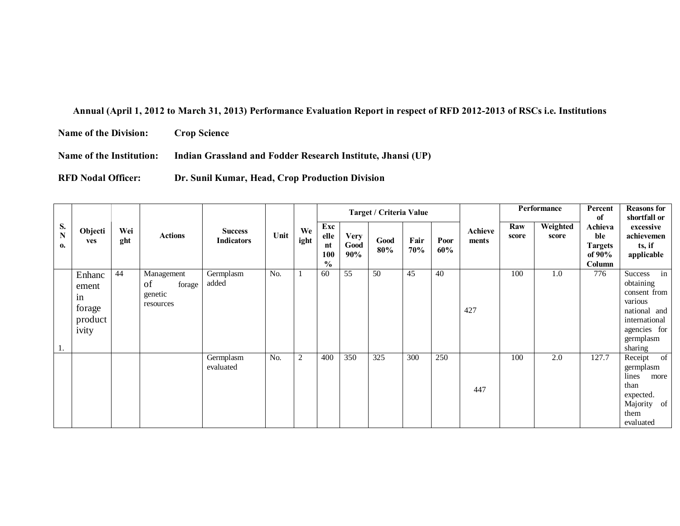## **Annual (April 1, 2012 to March 31, 2013) Performance Evaluation Report in respect of RFD 2012-2013 of RSCs i.e. Institutions**

**Name of the Division: Crop Science**

**Name of the Institution: Indian Grassland and Fodder Research Institute, Jhansi (UP)**

**RFD Nodal Officer: Dr. Sunil Kumar, Head, Crop Production Division**

|                                |                                                     |            |                                                    |                                     |      |                |                                           |                            | Target / Criteria Value |             |             |                  |              | Performance       | Percent<br>of                                           | <b>Reasons for</b><br>shortfall or                                                                                             |
|--------------------------------|-----------------------------------------------------|------------|----------------------------------------------------|-------------------------------------|------|----------------|-------------------------------------------|----------------------------|-------------------------|-------------|-------------|------------------|--------------|-------------------|---------------------------------------------------------|--------------------------------------------------------------------------------------------------------------------------------|
| S.<br>$\overline{\bf N}$<br>0. | Objecti<br>ves                                      | Wei<br>ght | <b>Actions</b>                                     | <b>Success</b><br><b>Indicators</b> | Unit | We<br>ight     | Exc<br>elle<br>nt<br>100<br>$\frac{0}{0}$ | <b>Very</b><br>Good<br>90% | Good<br>80%             | Fair<br>70% | Poor<br>60% | Achieve<br>ments | Raw<br>score | Weighted<br>score | Achieva<br>ble<br><b>Targets</b><br>of $90\%$<br>Column | excessive<br>achievemen<br>ts, if<br>applicable                                                                                |
| 1.                             | Enhanc<br>ement<br>in<br>forage<br>product<br>ivity | 44         | Management<br>of<br>forage<br>genetic<br>resources | Germplasm<br>added                  | No.  |                | 60                                        | 55                         | 50                      | 45          | 40          | 427              | 100          | 1.0               | 776                                                     | in<br>Success<br>obtaining<br>consent from<br>various<br>national and<br>international<br>agencies for<br>germplasm<br>sharing |
|                                |                                                     |            |                                                    | Germplasm<br>evaluated              | No.  | $\overline{2}$ | 400                                       | 350                        | 325                     | 300         | 250         | 447              | 100          | 2.0               | 127.7                                                   | Receipt<br>of<br>germplasm<br>lines<br>more<br>than<br>expected.<br>Majority of<br>them<br>evaluated                           |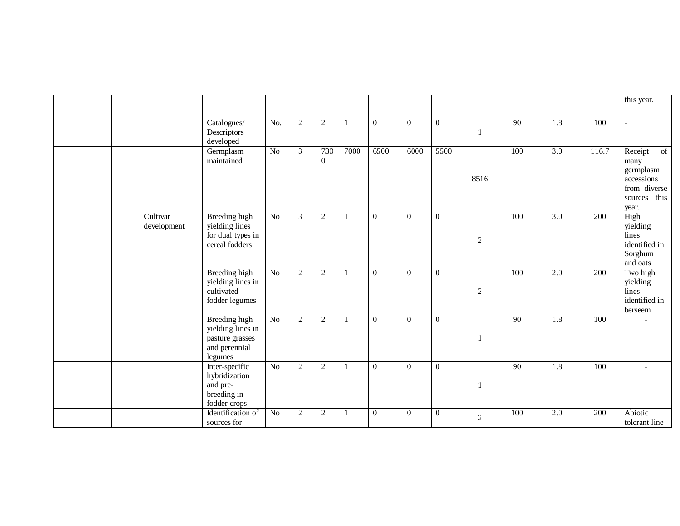|  |                         |                                                                                          |                 |                  |                     |              |                |                |                |                |                 |                  |                  | this year.                                                                                |
|--|-------------------------|------------------------------------------------------------------------------------------|-----------------|------------------|---------------------|--------------|----------------|----------------|----------------|----------------|-----------------|------------------|------------------|-------------------------------------------------------------------------------------------|
|  |                         | Catalogues/<br>Descriptors<br>developed                                                  | No.             | $\overline{c}$   | $\overline{2}$      | $\mathbf{1}$ | $\overline{0}$ | $\overline{0}$ | $\theta$       | $\mathbf{1}$   | 90              | $\overline{1.8}$ | 100              | $\sim$                                                                                    |
|  |                         | Germplasm<br>maintained                                                                  | No              | $\mathfrak{Z}$   | 730<br>$\mathbf{0}$ | 7000         | 6500           | 6000           | 5500           | 8516           | 100             | $\overline{3.0}$ | 116.7            | Receipt<br>of<br>many<br>germplasm<br>accessions<br>from diverse<br>sources this<br>year. |
|  | Cultivar<br>development | <b>Breeding high</b><br>yielding lines<br>for dual types in<br>cereal fodders            | N <sub>o</sub>  | 3                | $\overline{2}$      | -1           | $\theta$       | $\overline{0}$ | $\theta$       | $\overline{2}$ | 100             | 3.0              | 200              | High<br>yielding<br>lines<br>identified in<br>Sorghum<br>and oats                         |
|  |                         | <b>Breeding high</b><br>yielding lines in<br>cultivated<br>fodder legumes                | N <sub>o</sub>  | $\overline{c}$   | $\sqrt{2}$          |              | $\overline{0}$ | $\overline{0}$ | $\theta$       | $\sqrt{2}$     | 100             | $\overline{2.0}$ | 200              | Two high<br>yielding<br>lines<br>identified in<br>berseem                                 |
|  |                         | <b>Breeding</b> high<br>yielding lines in<br>pasture grasses<br>and perennial<br>legumes | $\overline{No}$ | $\overline{c}$   | $\overline{2}$      |              | $\theta$       | $\Omega$       | $\theta$       | $\mathbf{1}$   | $\overline{90}$ | 1.8              | 100              |                                                                                           |
|  |                         | Inter-specific<br>hybridization<br>and pre-<br>breeding in<br>fodder crops               | $\overline{No}$ | $\overline{c}$   | $\overline{2}$      | -1           | $\overline{0}$ | $\overline{0}$ | $\theta$       | $\mathbf{1}$   | $\overline{90}$ | $\overline{1.8}$ | 100              |                                                                                           |
|  |                         | Identification of<br>sources for                                                         | N <sub>o</sub>  | $\boldsymbol{2}$ | $\sqrt{2}$          | $\mathbf{1}$ | $\overline{0}$ | $\overline{0}$ | $\overline{0}$ | $\overline{2}$ | 100             | $\overline{2.0}$ | $\overline{200}$ | Abiotic<br>tolerant line                                                                  |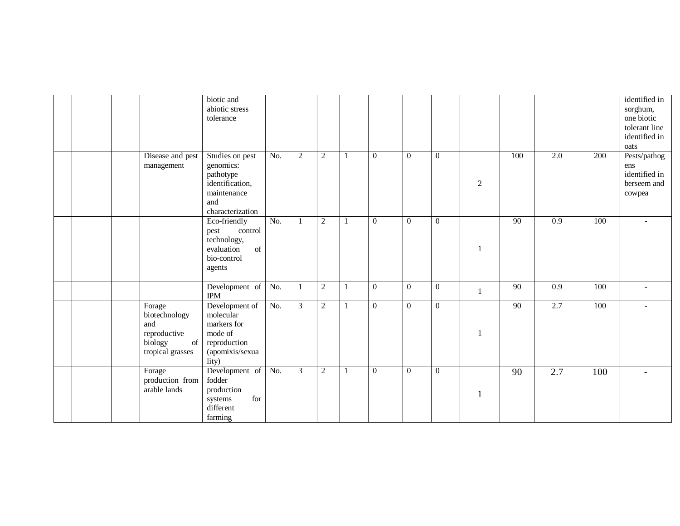|  |                                                                                                                                              | biotic and<br>abiotic stress<br>tolerance                                                              |                  |                |                |                |                |                  |                |              |                 |                  |     | identified in<br>sorghum,<br>one biotic<br>tolerant line<br>identified in<br>oats |
|--|----------------------------------------------------------------------------------------------------------------------------------------------|--------------------------------------------------------------------------------------------------------|------------------|----------------|----------------|----------------|----------------|------------------|----------------|--------------|-----------------|------------------|-----|-----------------------------------------------------------------------------------|
|  | Disease and pest<br>management                                                                                                               | Studies on pest<br>genomics:<br>pathotype<br>identification,<br>maintenance<br>and<br>characterization | No.              | $\overline{2}$ | $\overline{2}$ | 1              | $\Omega$       | $\theta$         | $\theta$       | $\sqrt{2}$   | 100             | 2.0              | 200 | Pests/pathog<br>ens<br>identified in<br>berseem and<br>cowpea                     |
|  |                                                                                                                                              | Eco-friendly<br>control<br>pest<br>technology,<br>of<br>evaluation<br>bio-control<br>agents            | $\overline{No.}$ | $\mathbf{1}$   | $\sqrt{2}$     | $\overline{1}$ | $\mathbf{0}$   | $\boldsymbol{0}$ | $\theta$       | $\mathbf{1}$ | 90              | $\overline{0.9}$ | 100 | $\blacksquare$                                                                    |
|  |                                                                                                                                              | Development of<br><b>IPM</b>                                                                           | No.              | 1              | $\sqrt{2}$     | -1             | $\overline{0}$ | $\overline{0}$   | $\overline{0}$ | $\mathbf{1}$ | $\overline{90}$ | $\overline{0.9}$ | 100 | ۰                                                                                 |
|  | Forage<br>biotechnology<br>and<br>reproductive<br>biology<br>$% \left( \left( \mathcal{A},\mathcal{A}\right) \right)$ of<br>tropical grasses | Development of<br>molecular<br>markers for<br>mode of<br>reproduction<br>(apomixis/sexua<br>lity)      | No.              | $\mathfrak{Z}$ | $\sqrt{2}$     | 1              | $\mathbf{0}$   | $\overline{0}$   | $\theta$       | $\mathbf{1}$ | $\overline{90}$ | 2.7              | 100 |                                                                                   |
|  | Forage<br>production from<br>arable lands                                                                                                    | Development of<br>fodder<br>production<br>for<br>systems<br>different<br>farming                       | No.              | $\overline{3}$ | $\sqrt{2}$     | $\mathbf{1}$   | $\mathbf{0}$   | $\boldsymbol{0}$ | $\mathbf{0}$   | 1            | 90              | 2.7              | 100 |                                                                                   |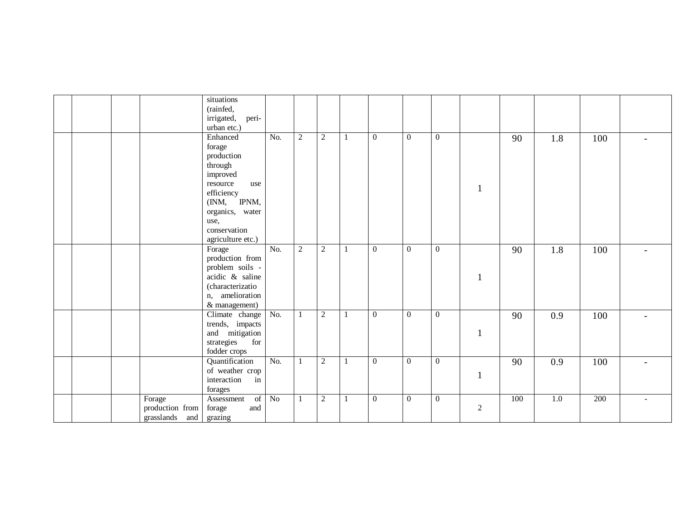|  |                 | situations<br>(rainfed,<br>irrigated,<br>peri-     |                  |                |            |                |                |                |                |     |     |     |                          |
|--|-----------------|----------------------------------------------------|------------------|----------------|------------|----------------|----------------|----------------|----------------|-----|-----|-----|--------------------------|
|  |                 | urban etc.)                                        |                  |                |            |                |                |                |                |     |     |     |                          |
|  |                 | Enhanced                                           | No.              | $\sqrt{2}$     | $\sqrt{2}$ | $\overline{0}$ | $\overline{0}$ | $\mathbf{0}$   |                | 90  | 1.8 | 100 |                          |
|  |                 | forage                                             |                  |                |            |                |                |                |                |     |     |     |                          |
|  |                 | production                                         |                  |                |            |                |                |                |                |     |     |     |                          |
|  |                 | through                                            |                  |                |            |                |                |                |                |     |     |     |                          |
|  |                 | improved                                           |                  |                |            |                |                |                |                |     |     |     |                          |
|  |                 | resource<br>use                                    |                  |                |            |                |                |                | $\mathbf{1}$   |     |     |     |                          |
|  |                 | efficiency                                         |                  |                |            |                |                |                |                |     |     |     |                          |
|  |                 | (INM, IPNM,                                        |                  |                |            |                |                |                |                |     |     |     |                          |
|  |                 | organics, water                                    |                  |                |            |                |                |                |                |     |     |     |                          |
|  |                 | use,                                               |                  |                |            |                |                |                |                |     |     |     |                          |
|  |                 | conservation                                       |                  |                |            |                |                |                |                |     |     |     |                          |
|  |                 | agriculture etc.)                                  |                  |                |            |                |                |                |                |     |     |     |                          |
|  |                 | Forage                                             | $\overline{No.}$ | $\overline{c}$ | 2          | $\mathbf{0}$   | $\overline{0}$ | $\mathbf{0}$   |                | 90  | 1.8 | 100 |                          |
|  |                 | production from                                    |                  |                |            |                |                |                |                |     |     |     |                          |
|  |                 | problem soils -<br>$\alpha$ acidic $\alpha$ saline |                  |                |            |                |                |                |                |     |     |     |                          |
|  |                 | (characterizatio                                   |                  |                |            |                |                |                | -1             |     |     |     |                          |
|  |                 | n, amelioration                                    |                  |                |            |                |                |                |                |     |     |     |                          |
|  |                 | & management)                                      |                  |                |            |                |                |                |                |     |     |     |                          |
|  |                 | Climate change No.                                 |                  | 1              | $\sqrt{2}$ | $\mathbf{0}$   | $\overline{0}$ | $\mathbf{0}$   |                | 90  | 0.9 | 100 |                          |
|  |                 | trends, impacts                                    |                  |                |            |                |                |                |                |     |     |     |                          |
|  |                 | and mitigation                                     |                  |                |            |                |                |                | $\mathbf{1}$   |     |     |     |                          |
|  |                 | strategies<br>for                                  |                  |                |            |                |                |                |                |     |     |     |                          |
|  |                 | fodder crops                                       |                  |                |            |                |                |                |                |     |     |     |                          |
|  |                 | Quantification                                     | No.              | 1              | $\sqrt{2}$ | $\theta$       | $\overline{0}$ | $\mathbf{0}$   |                | 90  | 0.9 | 100 |                          |
|  |                 | of weather crop                                    |                  |                |            |                |                |                |                |     |     |     |                          |
|  |                 | interaction<br>in                                  |                  |                |            |                |                |                | $\mathbf{1}$   |     |     |     |                          |
|  |                 | forages                                            |                  |                |            |                |                |                |                |     |     |     |                          |
|  | Forage          | Assessment<br>of                                   | No               | 1              | 2          | $\overline{0}$ | $\overline{0}$ | $\overline{0}$ |                | 100 | 1.0 | 200 | $\overline{\phantom{a}}$ |
|  | production from | and<br>forage                                      |                  |                |            |                |                |                | $\overline{2}$ |     |     |     |                          |
|  | grasslands and  | grazing                                            |                  |                |            |                |                |                |                |     |     |     |                          |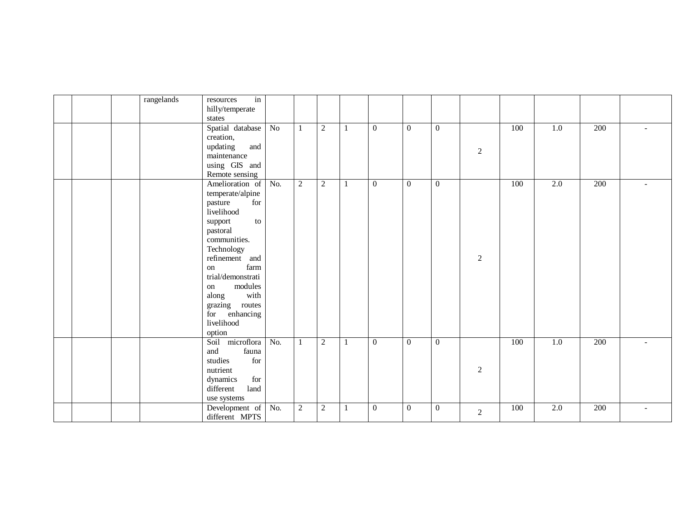| rangelands<br>in<br>resources                                                                                                  |                                              |
|--------------------------------------------------------------------------------------------------------------------------------|----------------------------------------------|
| hilly/temperate                                                                                                                |                                              |
| $\operatorname{states}$                                                                                                        |                                              |
| Spatial database No<br>2<br>100<br>1.0<br>$\overline{0}$<br>$\boldsymbol{0}$<br>$\overline{0}$<br>$\mathbf{1}$<br>1            | 200                                          |
| creation,                                                                                                                      |                                              |
| updating<br>and                                                                                                                |                                              |
| 2<br>maintenance                                                                                                               |                                              |
| using GIS and                                                                                                                  |                                              |
| Remote sensing                                                                                                                 |                                              |
| $\overline{2}$<br>2.0<br>Amelioration of No.<br>2<br>$\overline{0}$<br>$\overline{0}$<br>100<br>$\overline{0}$<br>$\mathbf{1}$ | $\overline{200}$<br>$\overline{\phantom{a}}$ |
| temperate/alpine                                                                                                               |                                              |
| for<br>pasture                                                                                                                 |                                              |
| livelihood                                                                                                                     |                                              |
| support<br>to                                                                                                                  |                                              |
| pastoral                                                                                                                       |                                              |
| communities.                                                                                                                   |                                              |
| Technology                                                                                                                     |                                              |
| refinement and<br>$\sqrt{2}$                                                                                                   |                                              |
| farm<br>on                                                                                                                     |                                              |
| trial/demonstrati                                                                                                              |                                              |
| modules<br>on                                                                                                                  |                                              |
| with<br>along                                                                                                                  |                                              |
| grazing routes                                                                                                                 |                                              |
| for enhancing                                                                                                                  |                                              |
| livelihood                                                                                                                     |                                              |
| option                                                                                                                         |                                              |
| Soil microflora No.<br>2<br>$\overline{0}$<br>$\theta$<br>100<br>$\overline{1.0}$<br>$\Omega$<br>$\mathbf{1}$<br>$\mathbf{1}$  | $\overline{200}$                             |
| and<br>fauna                                                                                                                   |                                              |
| $\operatorname{for}$<br>studies                                                                                                |                                              |
| $\overline{2}$<br>nutrient                                                                                                     |                                              |
| for<br>dynamics                                                                                                                |                                              |
| different<br>land                                                                                                              |                                              |
| use systems                                                                                                                    |                                              |
| Development of No.<br>2<br>2<br>$\overline{0}$<br>$\boldsymbol{0}$<br>100<br>$2.0\,$<br>$\overline{0}$<br>$\mathbf{1}$         | 200<br>$\overline{\phantom{a}}$              |
| 2<br>different MPTS                                                                                                            |                                              |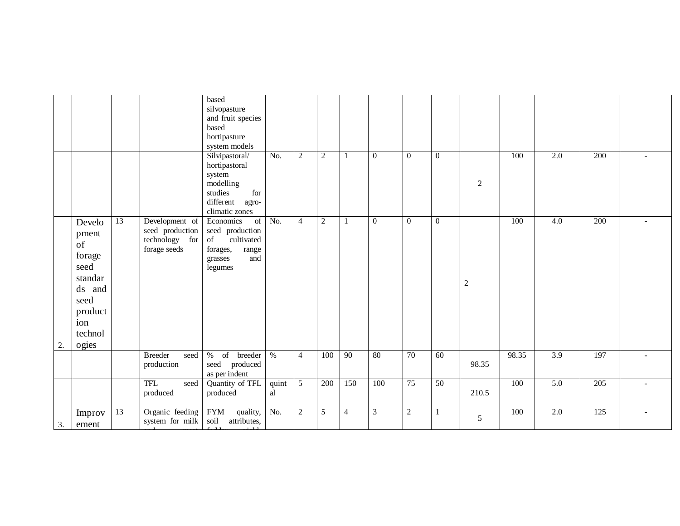|    |                                                                                                            |                 |                                                                     | based<br>silvopasture<br>and fruit species<br>based<br>hortipasture<br>system models                             |                  |                |                |                |              |                |                  |                |       |                  |     |                          |
|----|------------------------------------------------------------------------------------------------------------|-----------------|---------------------------------------------------------------------|------------------------------------------------------------------------------------------------------------------|------------------|----------------|----------------|----------------|--------------|----------------|------------------|----------------|-------|------------------|-----|--------------------------|
|    |                                                                                                            |                 |                                                                     | Silvipastoral/<br>hortipastoral<br>system<br>modelling<br>studies<br>for<br>different agro-<br>climatic zones    | No.              | $\overline{c}$ | $\overline{2}$ |                | $\theta$     | $\overline{0}$ | $\Omega$         | $\overline{2}$ | 100   | $\overline{2.0}$ | 200 |                          |
| 2. | Develo<br>pment<br>of<br>forage<br>seed<br>standar<br>ds and<br>seed<br>product<br>ion<br>technol<br>ogies | $\overline{13}$ | Development of<br>seed production<br>technology for<br>forage seeds | Economics<br>of<br>seed production<br>cultivated<br>$\sigma f$<br>forages,<br>range<br>and<br>grasses<br>legumes | $\overline{No.}$ | $\overline{4}$ | $\sqrt{2}$     |                | $\mathbf{0}$ | $\mathbf{0}$   | $\boldsymbol{0}$ | $\sqrt{2}$     | 100   | $\overline{4.0}$ | 200 |                          |
|    |                                                                                                            |                 | <b>Breeder</b><br>seed<br>production                                | of breeder %<br>%<br>seed produced<br>as per indent                                                              |                  | $\overline{4}$ | 100            | 90             | 80           | 70             | $\overline{60}$  | 98.35          | 98.35 | 3.9              | 197 | $\sim$                   |
|    |                                                                                                            |                 | <b>TFL</b><br>seed<br>produced                                      | Quantity of TFL<br>produced                                                                                      | quint<br>al      | $\overline{5}$ | 200            | 150            | 100          | 75             | 50               | 210.5          | 100   | 5.0              | 205 | $\sim$                   |
| 3. | Improv<br>ement                                                                                            | 13              | Organic feeding<br>system for milk                                  | <b>FYM</b><br>quality,<br>soil<br>attributes,                                                                    | No.              | $\sqrt{2}$     | 5              | $\overline{4}$ | 3            | $\overline{2}$ |                  | 5              | 100   | $\overline{2.0}$ | 125 | $\overline{\phantom{a}}$ |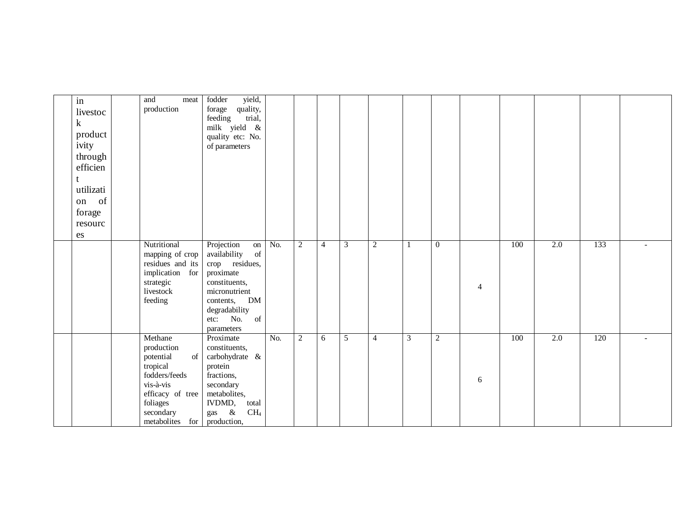| in        | and                           | meat | yield,<br>fodder                 |     |            |                |   |                |   |                |                |     |     |     |  |
|-----------|-------------------------------|------|----------------------------------|-----|------------|----------------|---|----------------|---|----------------|----------------|-----|-----|-----|--|
| livestoc  | production                    |      | forage<br>quality,               |     |            |                |   |                |   |                |                |     |     |     |  |
| $\bf k$   |                               |      | trial,<br>feeding                |     |            |                |   |                |   |                |                |     |     |     |  |
| product   |                               |      | milk yield &                     |     |            |                |   |                |   |                |                |     |     |     |  |
| ivity     |                               |      | quality etc: No.                 |     |            |                |   |                |   |                |                |     |     |     |  |
|           |                               |      | of parameters                    |     |            |                |   |                |   |                |                |     |     |     |  |
| through   |                               |      |                                  |     |            |                |   |                |   |                |                |     |     |     |  |
| efficien  |                               |      |                                  |     |            |                |   |                |   |                |                |     |     |     |  |
|           |                               |      |                                  |     |            |                |   |                |   |                |                |     |     |     |  |
| utilizati |                               |      |                                  |     |            |                |   |                |   |                |                |     |     |     |  |
| on of     |                               |      |                                  |     |            |                |   |                |   |                |                |     |     |     |  |
| forage    |                               |      |                                  |     |            |                |   |                |   |                |                |     |     |     |  |
| resourc   |                               |      |                                  |     |            |                |   |                |   |                |                |     |     |     |  |
| es        |                               |      |                                  |     |            |                |   |                |   |                |                |     |     |     |  |
|           | Nutritional                   |      | Projection<br>on                 | No. | $\sqrt{2}$ | $\overline{4}$ | 3 | $\sqrt{2}$     |   | $\mathbf{0}$   |                | 100 | 2.0 | 133 |  |
|           | mapping of crop               |      | of<br>availability               |     |            |                |   |                |   |                |                |     |     |     |  |
|           | residues and its              |      | crop residues,                   |     |            |                |   |                |   |                |                |     |     |     |  |
|           | implication for               |      | proximate                        |     |            |                |   |                |   |                |                |     |     |     |  |
|           | strategic                     |      | constituents,                    |     |            |                |   |                |   |                | $\overline{4}$ |     |     |     |  |
|           | livestock<br>feeding          |      | micronutrient<br>DM<br>contents, |     |            |                |   |                |   |                |                |     |     |     |  |
|           |                               |      | degradability                    |     |            |                |   |                |   |                |                |     |     |     |  |
|           |                               |      | etc: No.<br>of                   |     |            |                |   |                |   |                |                |     |     |     |  |
|           |                               |      | parameters                       |     |            |                |   |                |   |                |                |     |     |     |  |
|           | Methane                       |      | Proximate                        | No. | $\sqrt{2}$ | 6              | 5 | $\overline{4}$ | 3 | $\overline{2}$ |                | 100 | 2.0 | 120 |  |
|           | production                    |      | constituents,                    |     |            |                |   |                |   |                |                |     |     |     |  |
|           | potential                     | of   | carbohydrate &                   |     |            |                |   |                |   |                |                |     |     |     |  |
|           | tropical                      |      | protein                          |     |            |                |   |                |   |                |                |     |     |     |  |
|           | fodders/feeds                 |      | fractions,                       |     |            |                |   |                |   |                | $\sqrt{6}$     |     |     |     |  |
|           | vis-à-vis<br>efficacy of tree |      | secondary<br>metabolites,        |     |            |                |   |                |   |                |                |     |     |     |  |
|           | foliages                      |      | IVDMD,<br>total                  |     |            |                |   |                |   |                |                |     |     |     |  |
|           | secondary                     |      | $\&$<br>CH <sub>4</sub><br>gas   |     |            |                |   |                |   |                |                |     |     |     |  |
|           | metabolites for               |      | production,                      |     |            |                |   |                |   |                |                |     |     |     |  |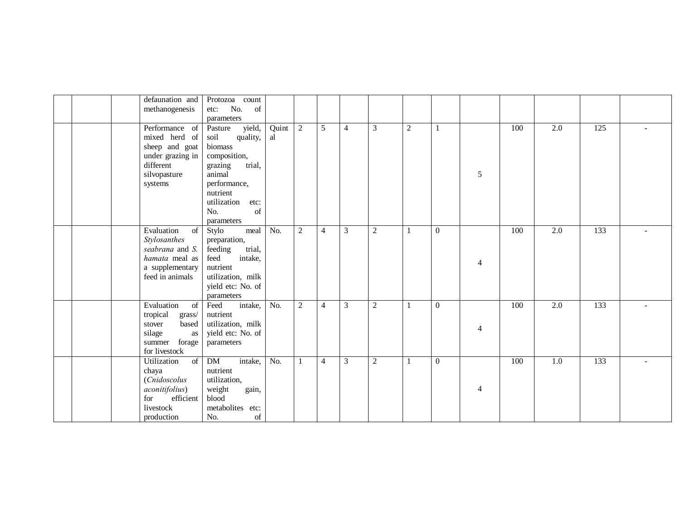|  | defaunation and<br>methanogenesis                                                                                               | Protozoa count<br>No.<br>of<br>etc:                                                                                                       |                  |                |                |                |                |                  |                |                |     |                  |     |  |
|--|---------------------------------------------------------------------------------------------------------------------------------|-------------------------------------------------------------------------------------------------------------------------------------------|------------------|----------------|----------------|----------------|----------------|------------------|----------------|----------------|-----|------------------|-----|--|
|  |                                                                                                                                 | parameters                                                                                                                                |                  |                |                |                |                |                  |                |                |     |                  |     |  |
|  | Performance of<br>mixed herd of<br>sheep and goat<br>under grazing in<br>different                                              | yield,<br>Pasture<br>soil<br>quality,<br>biomass<br>composition,<br>trial,<br>grazing                                                     | Quint<br>al      | $\overline{2}$ | 5              | $\overline{4}$ | 3              | $\boldsymbol{2}$ |                |                | 100 | 2.0              | 125 |  |
|  | silvopasture<br>systems                                                                                                         | animal<br>performance,<br>nutrient<br>utilization<br>etc:<br>No.<br>of<br>parameters                                                      |                  |                |                |                |                |                  |                | 5              |     |                  |     |  |
|  | Evaluation<br>of<br>Stylosanthes<br>seabrana and S.<br>hamata meal as<br>a supplementary<br>feed in animals                     | meal<br>Stylo<br>preparation,<br>feeding<br>trial,<br>feed<br>intake,<br>nutrient<br>utilization, milk<br>yield etc: No. of<br>parameters | No.              | $\overline{c}$ | $\overline{4}$ | 3              | $\overline{c}$ |                  | $\theta$       | $\overline{4}$ | 100 | 2.0              | 133 |  |
|  | Evaluation<br>of<br>tropical<br>grass/<br>based<br>stover<br>silage<br>as<br>summer<br>forage<br>for livestock                  | intake,<br>Feed<br>nutrient<br>utilization, milk<br>yield etc: No. of<br>parameters                                                       | No.              | $\overline{2}$ | $\overline{4}$ | $\mathfrak{Z}$ | $\overline{2}$ |                  | $\theta$       | $\overline{4}$ | 100 | $\overline{2.0}$ | 133 |  |
|  | $\overline{\text{of}}$<br>Utilization<br>chaya<br>(Cnidoscolus<br>aconitifolius)<br>efficient<br>for<br>livestock<br>production | DM<br>intake,<br>nutrient<br>utilization,<br>weight<br>gain,<br>blood<br>metabolites etc:<br>No.<br>of                                    | $\overline{No.}$ | $\mathbf{1}$   | $\overline{4}$ | $\overline{3}$ | $\overline{2}$ |                  | $\overline{0}$ | $\overline{4}$ | 100 | $\overline{1.0}$ | 133 |  |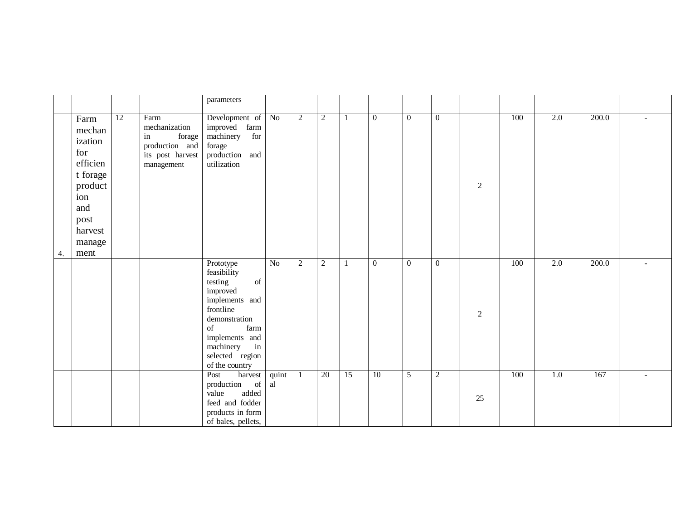|    |                                                                                                                        |                 |                                                                                           | parameters                                                                                                                                                                                                                                                                                                                                                                                    |                 |            |                 |              |                  |                  |                |                |     |                  |       |        |
|----|------------------------------------------------------------------------------------------------------------------------|-----------------|-------------------------------------------------------------------------------------------|-----------------------------------------------------------------------------------------------------------------------------------------------------------------------------------------------------------------------------------------------------------------------------------------------------------------------------------------------------------------------------------------------|-----------------|------------|-----------------|--------------|------------------|------------------|----------------|----------------|-----|------------------|-------|--------|
| 4. | Farm<br>mechan<br>ization<br>for<br>efficien<br>t forage<br>product<br>ion<br>and<br>post<br>harvest<br>manage<br>ment | $\overline{12}$ | Farm<br>mechanization<br>in<br>forage<br>production and<br>its post harvest<br>management | Development of No<br>improved farm<br>machinery<br>for<br>forage<br>production and<br>utilization                                                                                                                                                                                                                                                                                             |                 | $\sqrt{2}$ | $\overline{2}$  |              | $\overline{0}$   | $\boldsymbol{0}$ | $\overline{0}$ | $\overline{2}$ | 100 | $\overline{2.0}$ | 200.0 |        |
|    |                                                                                                                        |                 |                                                                                           | Prototype<br>feasibility<br>$% \left( \left( \mathcal{A},\mathcal{A}\right) \right) =\left( \mathcal{A},\mathcal{A}\right)$ of<br>testing<br>improved<br>implements and<br>frontline<br>demonstration<br>$% \left( \left( \mathcal{A},\mathcal{A}\right) \right) =\left( \mathcal{A},\mathcal{A}\right)$ of<br>farm<br>implements and<br>in<br>machinery<br>selected region<br>of the country | $\overline{No}$ | $\sqrt{2}$ | $\overline{2}$  | $\mathbf{1}$ | $\boldsymbol{0}$ | $\boldsymbol{0}$ | $\overline{0}$ | $\sqrt{2}$     | 100 | $\overline{2.0}$ | 200.0 | $\sim$ |
|    |                                                                                                                        |                 |                                                                                           | Post<br>harvest<br>production of<br>added<br>value<br>feed and fodder<br>products in form<br>of bales, pellets,                                                                                                                                                                                                                                                                               | quint<br>al     | -1         | $\overline{20}$ | 15           | $\overline{10}$  | $\overline{5}$   | $\overline{2}$ | 25             | 100 | 1.0              | 167   |        |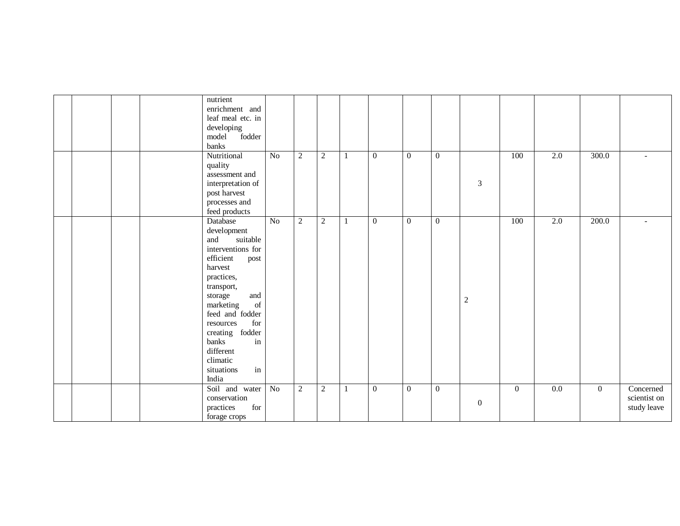|  |  | nutrient<br>enrichment and                                               |                  |                |                |    |                  |                  |                |                  |                |                  |                |                          |
|--|--|--------------------------------------------------------------------------|------------------|----------------|----------------|----|------------------|------------------|----------------|------------------|----------------|------------------|----------------|--------------------------|
|  |  | leaf meal etc. in                                                        |                  |                |                |    |                  |                  |                |                  |                |                  |                |                          |
|  |  | developing                                                               |                  |                |                |    |                  |                  |                |                  |                |                  |                |                          |
|  |  | fodder<br>model                                                          |                  |                |                |    |                  |                  |                |                  |                |                  |                |                          |
|  |  | banks                                                                    |                  |                |                |    |                  |                  |                |                  |                |                  |                |                          |
|  |  | Nutritional                                                              | $\overline{No}$  | $\overline{2}$ | $\overline{2}$ | -1 | $\boldsymbol{0}$ | $\boldsymbol{0}$ | $\overline{0}$ |                  | 100            | $\overline{2.0}$ | 300.0          | $\overline{\phantom{a}}$ |
|  |  | quality                                                                  |                  |                |                |    |                  |                  |                |                  |                |                  |                |                          |
|  |  | assessment and                                                           |                  |                |                |    |                  |                  |                |                  |                |                  |                |                          |
|  |  | interpretation of                                                        |                  |                |                |    |                  |                  |                | $\mathfrak{Z}$   |                |                  |                |                          |
|  |  | post harvest                                                             |                  |                |                |    |                  |                  |                |                  |                |                  |                |                          |
|  |  | processes and                                                            |                  |                |                |    |                  |                  |                |                  |                |                  |                |                          |
|  |  | feed products                                                            |                  |                |                |    |                  |                  |                |                  |                |                  |                |                          |
|  |  | Database                                                                 | $\overline{No}$  | $\overline{2}$ | 2              | 1  | $\overline{0}$   | $\overline{0}$   | $\mathbf{0}$   |                  | 100            | $\overline{2.0}$ | 200.0          | $\sim$                   |
|  |  | development                                                              |                  |                |                |    |                  |                  |                |                  |                |                  |                |                          |
|  |  | suitable<br>and                                                          |                  |                |                |    |                  |                  |                |                  |                |                  |                |                          |
|  |  | interventions for                                                        |                  |                |                |    |                  |                  |                |                  |                |                  |                |                          |
|  |  | efficient                                                                |                  |                |                |    |                  |                  |                |                  |                |                  |                |                          |
|  |  | post<br>harvest                                                          |                  |                |                |    |                  |                  |                |                  |                |                  |                |                          |
|  |  |                                                                          |                  |                |                |    |                  |                  |                |                  |                |                  |                |                          |
|  |  | practices,                                                               |                  |                |                |    |                  |                  |                |                  |                |                  |                |                          |
|  |  | transport,                                                               |                  |                |                |    |                  |                  |                |                  |                |                  |                |                          |
|  |  | and<br>storage                                                           |                  |                |                |    |                  |                  |                | $\sqrt{2}$       |                |                  |                |                          |
|  |  | marketing<br>$% \left( \left( \mathcal{A},\mathcal{A}\right) \right)$ of |                  |                |                |    |                  |                  |                |                  |                |                  |                |                          |
|  |  | feed and fodder                                                          |                  |                |                |    |                  |                  |                |                  |                |                  |                |                          |
|  |  | for<br>resources                                                         |                  |                |                |    |                  |                  |                |                  |                |                  |                |                          |
|  |  | creating fodder                                                          |                  |                |                |    |                  |                  |                |                  |                |                  |                |                          |
|  |  | banks<br>in                                                              |                  |                |                |    |                  |                  |                |                  |                |                  |                |                          |
|  |  | different                                                                |                  |                |                |    |                  |                  |                |                  |                |                  |                |                          |
|  |  | climatic                                                                 |                  |                |                |    |                  |                  |                |                  |                |                  |                |                          |
|  |  | in<br>situations                                                         |                  |                |                |    |                  |                  |                |                  |                |                  |                |                          |
|  |  | India                                                                    |                  |                |                |    |                  |                  |                |                  |                |                  |                |                          |
|  |  | Soil and water                                                           | $\overline{N_0}$ | $\overline{2}$ | $\overline{2}$ | -1 | $\boldsymbol{0}$ | $\overline{0}$   | $\overline{0}$ |                  | $\overline{0}$ | $\overline{0.0}$ | $\overline{0}$ | Concerned                |
|  |  | conservation                                                             |                  |                |                |    |                  |                  |                |                  |                |                  |                | scientist on             |
|  |  | practices<br>for                                                         |                  |                |                |    |                  |                  |                | $\boldsymbol{0}$ |                |                  |                | study leave              |
|  |  | forage crops                                                             |                  |                |                |    |                  |                  |                |                  |                |                  |                |                          |
|  |  |                                                                          |                  |                |                |    |                  |                  |                |                  |                |                  |                |                          |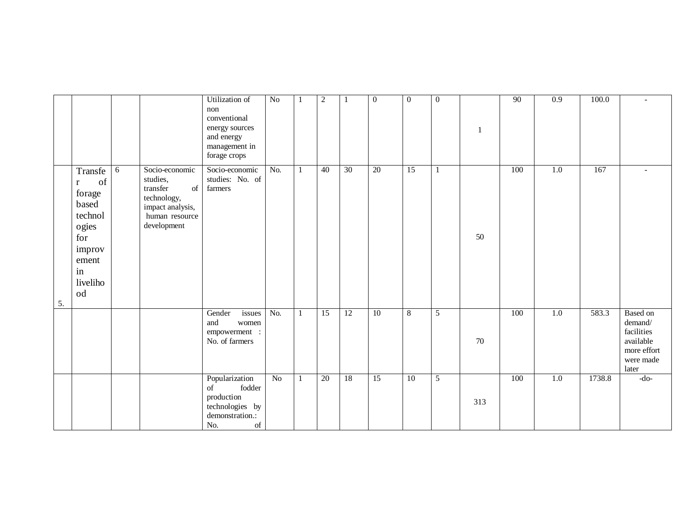|    |                                                                                                                        |   |                                                                                                                  | Utilization of<br>non<br>conventional<br>energy sources<br>and energy<br>management in<br>forage crops                                                                                          | $\overline{No}$  |              | $\sqrt{2}$      |                 | $\boldsymbol{0}$ | $\boldsymbol{0}$ | $\boldsymbol{0}$ | -1  | 90  | $\overline{0.9}$ | 100.0  | $\sim$                                                                                     |
|----|------------------------------------------------------------------------------------------------------------------------|---|------------------------------------------------------------------------------------------------------------------|-------------------------------------------------------------------------------------------------------------------------------------------------------------------------------------------------|------------------|--------------|-----------------|-----------------|------------------|------------------|------------------|-----|-----|------------------|--------|--------------------------------------------------------------------------------------------|
| 5. | Transfe<br>of<br>$\mathbf{r}$<br>forage<br>based<br>technol<br>ogies<br>for<br>improv<br>ement<br>in<br>liveliho<br>od | 6 | Socio-economic<br>studies,<br>transfer<br>of<br>technology,<br>impact analysis,<br>human resource<br>development | Socio-economic<br>studies: No. of<br>farmers                                                                                                                                                    | $\overline{No.}$ | $\mathbf{1}$ | 40              | $\overline{30}$ | $\overline{20}$  | $\overline{15}$  | $\mathbf{1}$     | 50  | 100 | 1.0              | 167    |                                                                                            |
|    |                                                                                                                        |   |                                                                                                                  | Gender<br>issues<br>and<br>women<br>empowerment :<br>No. of farmers                                                                                                                             | No.              | 1            | 15              | 12              | 10               | $\overline{8}$   | $\overline{5}$   | 70  | 100 | 1.0              | 583.3  | <b>Based</b> on<br>demand/<br>facilities<br>available<br>more effort<br>were made<br>later |
|    |                                                                                                                        |   |                                                                                                                  | Popularization<br>fodder<br>of<br>production<br>technologies by<br>demonstration.:<br>No.<br>$% \left( \left( \mathcal{A},\mathcal{A}\right) \right) =\left( \mathcal{A},\mathcal{A}\right)$ of | $\overline{No}$  | 1            | $\overline{20}$ | 18              | $\overline{15}$  | $\overline{10}$  | $\overline{5}$   | 313 | 100 | 1.0              | 1738.8 | $-do-$                                                                                     |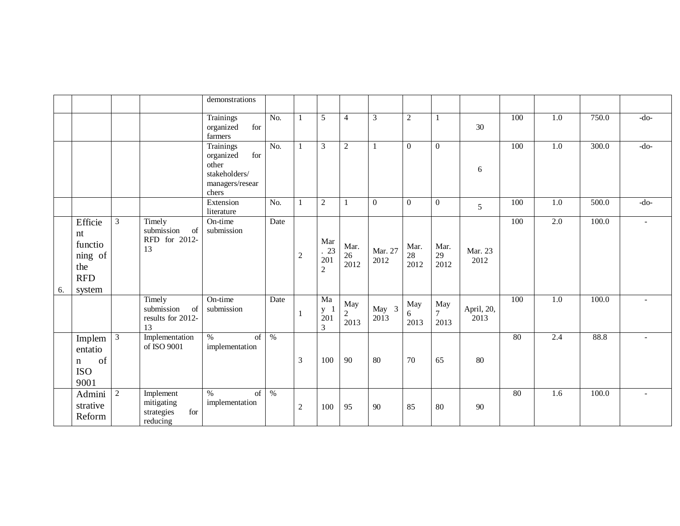|    |                                                                    |                |                                                          | demonstrations                                                                      |                  |            |                                         |                           |                  |                    |                    |                    |     |                  |       |                          |
|----|--------------------------------------------------------------------|----------------|----------------------------------------------------------|-------------------------------------------------------------------------------------|------------------|------------|-----------------------------------------|---------------------------|------------------|--------------------|--------------------|--------------------|-----|------------------|-------|--------------------------|
|    |                                                                    |                |                                                          | Trainings<br>organized<br>for<br>farmers                                            | No.              |            | $\overline{5}$                          | $\overline{4}$            | 3                | $\overline{2}$     | 1                  | 30                 | 100 | $\overline{1.0}$ | 750.0 | $-do-$                   |
|    |                                                                    |                |                                                          | Trainings<br>for<br>organized<br>other<br>stakeholders/<br>managers/resear<br>chers | $\overline{No.}$ |            | $\mathfrak{Z}$                          | $\overline{2}$            |                  | $\boldsymbol{0}$   | $\mathbf{0}$       | 6                  | 100 | 1.0              | 300.0 | $-do-$                   |
|    |                                                                    |                |                                                          | Extension<br>literature                                                             | No.              |            | 2                                       |                           | $\boldsymbol{0}$ | $\boldsymbol{0}$   | $\boldsymbol{0}$   | 5                  | 100 | 1.0              | 500.0 | $-do-$                   |
| 6. | Efficie<br>nt<br>functio<br>ning of<br>the<br><b>RFD</b><br>system | $\mathfrak{Z}$ | Timely<br>submission<br>of<br>RFD for 2012-<br>13        | On-time<br>submission                                                               | Date             | $\sqrt{2}$ | Mar<br>.23<br>201<br>$\overline{2}$     | Mar.<br>26<br>2012        | Mar. 27<br>2012  | Mar.<br>28<br>2012 | Mar.<br>29<br>2012 | Mar. 23<br>2012    | 100 | $\overline{2.0}$ | 100.0 | $\overline{\phantom{a}}$ |
|    |                                                                    |                | Timely<br>submission<br>of<br>results for 2012-<br>13    | On-time<br>submission                                                               | Date             | 1          | Ma<br>$\frac{y}{201}$<br>$\overline{3}$ | May<br>$\sqrt{2}$<br>2013 | May 3<br>2013    | May<br>6<br>2013   | May<br>7<br>2013   | April, 20,<br>2013 | 100 | 1.0              | 100.0 |                          |
|    | Implem<br>entatio<br>of<br>$\mathbf n$<br><b>ISO</b><br>9001       | $\overline{3}$ | Implementation<br>of ISO 9001                            | $\%$<br>of<br>implementation                                                        | $\frac{0}{6}$    | 3          | 100                                     | 90                        | 80               | 70                 | 65                 | 80                 | 80  | 2.4              | 88.8  |                          |
|    | Admini<br>strative<br>Reform                                       | $\overline{2}$ | Implement<br>mitigating<br>strategies<br>for<br>reducing | $\frac{0}{6}$<br>of<br>implementation                                               | $\frac{0}{0}$    | $\sqrt{2}$ | 100                                     | 95                        | 90               | 85                 | 80                 | 90                 | 80  | 1.6              | 100.0 |                          |